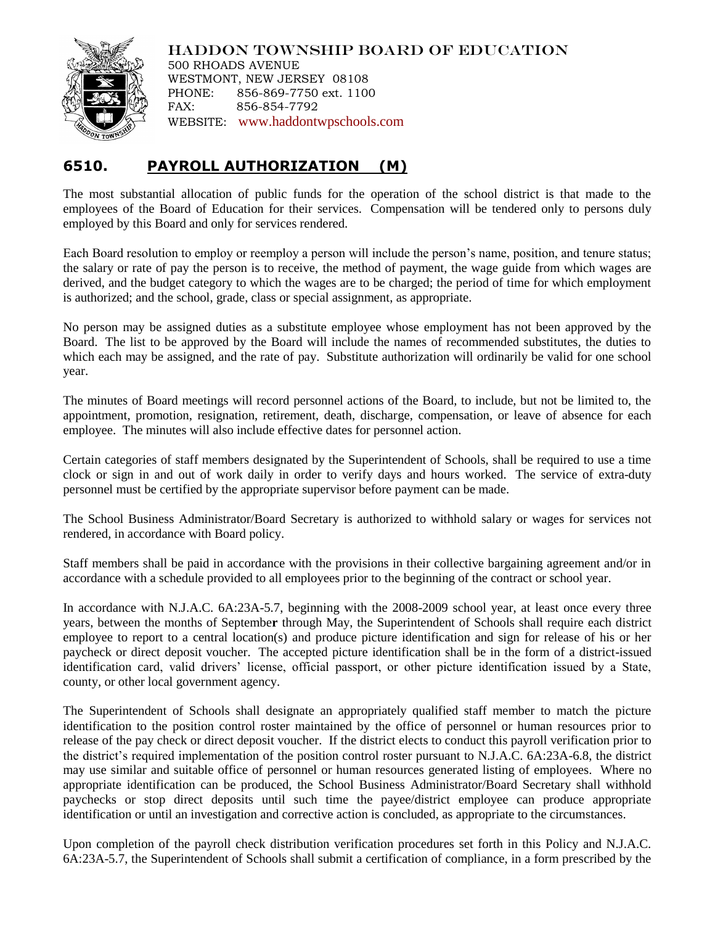## HADDON TOWNSHIP BOARD OF EDUCATION



500 RHOADS AVENUE WESTMONT, NEW JERSEY 08108 PHONE: 856-869-7750 ext. 1100 FAX: 856-854-7792 WEBSITE: [www.haddontwpschools.com](http://www.haddontwpschools.com/)

## **6510. PAYROLL AUTHORIZATION (M)**

The most substantial allocation of public funds for the operation of the school district is that made to the employees of the Board of Education for their services. Compensation will be tendered only to persons duly employed by this Board and only for services rendered.

Each Board resolution to employ or reemploy a person will include the person's name, position, and tenure status; the salary or rate of pay the person is to receive, the method of payment, the wage guide from which wages are derived, and the budget category to which the wages are to be charged; the period of time for which employment is authorized; and the school, grade, class or special assignment, as appropriate.

No person may be assigned duties as a substitute employee whose employment has not been approved by the Board. The list to be approved by the Board will include the names of recommended substitutes, the duties to which each may be assigned, and the rate of pay. Substitute authorization will ordinarily be valid for one school year.

The minutes of Board meetings will record personnel actions of the Board, to include, but not be limited to, the appointment, promotion, resignation, retirement, death, discharge, compensation, or leave of absence for each employee. The minutes will also include effective dates for personnel action.

Certain categories of staff members designated by the Superintendent of Schools, shall be required to use a time clock or sign in and out of work daily in order to verify days and hours worked. The service of extra-duty personnel must be certified by the appropriate supervisor before payment can be made.

The School Business Administrator/Board Secretary is authorized to withhold salary or wages for services not rendered, in accordance with Board policy.

Staff members shall be paid in accordance with the provisions in their collective bargaining agreement and/or in accordance with a schedule provided to all employees prior to the beginning of the contract or school year.

In accordance with N.J.A.C. 6A:23A-5.7, beginning with the 2008-2009 school year, at least once every three years, between the months of Septembe**r** through May, the Superintendent of Schools shall require each district employee to report to a central location(s) and produce picture identification and sign for release of his or her paycheck or direct deposit voucher. The accepted picture identification shall be in the form of a district-issued identification card, valid drivers' license, official passport, or other picture identification issued by a State, county, or other local government agency.

The Superintendent of Schools shall designate an appropriately qualified staff member to match the picture identification to the position control roster maintained by the office of personnel or human resources prior to release of the pay check or direct deposit voucher. If the district elects to conduct this payroll verification prior to the district's required implementation of the position control roster pursuant to N.J.A.C. 6A:23A-6.8, the district may use similar and suitable office of personnel or human resources generated listing of employees. Where no appropriate identification can be produced, the School Business Administrator/Board Secretary shall withhold paychecks or stop direct deposits until such time the payee/district employee can produce appropriate identification or until an investigation and corrective action is concluded, as appropriate to the circumstances.

Upon completion of the payroll check distribution verification procedures set forth in this Policy and N.J.A.C. 6A:23A-5.7, the Superintendent of Schools shall submit a certification of compliance, in a form prescribed by the